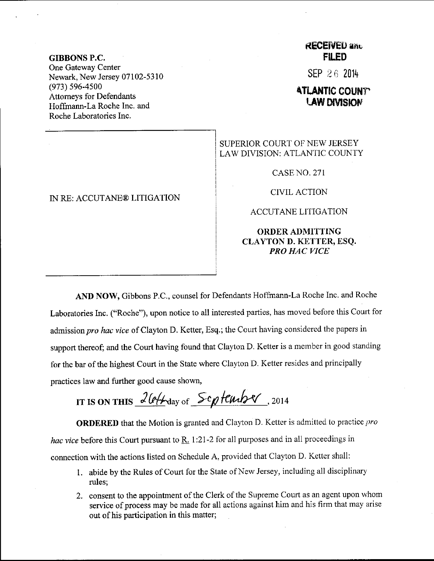GIBBONS P.C. One Gateway Center Newark, New Jersey 07102-5310 (973) 596-4s00 Attomeys for Defendants Hoffmann-La Roche Inc. and Roche Laboratories Inc.

## IN RE: ACCUTANE@ LITIGATION

## **RECEIVEU and FILED**

SEP 26 2014

## **ATLANTIC COUNTY LAW DIVISION**

SUPERIOR COURT OF NEW JERSEY LAW DIVISION: ATLANTIC COUNTY

CASENO.271

CIVIL ACTION

ACCUTANE LITIGATION

## ORDERADMITTING CLAYTON D. KETTER, ESQ. PRO HAC VICE

AND NOW, Gibbons P.C., counsel for Defendants Hoffmann-La Roche Inc. and Roche Laboratories Inc. ("Roche"), upon notice to all interested parties, has moved before this court for admission pro hac vice of Clayton D. Ketter, Esq.; the Court having considered the papers in support thereof; and the Court having found that Clayton D. Ketter is a member in good standing for the bar of the highest Court in the State where Clayton D. Ketter resides and principally practices law and further good cause shown,

IT IS ON THIS  $2044$  day of  $54644$   $12014$ 

**ORDERED** that the Motion is granted and Clayton D. Ketter is admitted to practice pro hac vice before this Court pursuant to  $\underline{R}$ . 1:21-2 for all purposes and in all proceedings in connection with the actions listed on Schedule A, provided that Clayton D. Ketter shall:

- 1. abide by the Rules of Court for the State of New Jersey, including all disciplinary rules;
- 2. consent to the appointment of the Clerk of the Supreme Court as an agent upon u'hom service of process may be made for all actions against him and his firm that may arise out of his participation in this matter;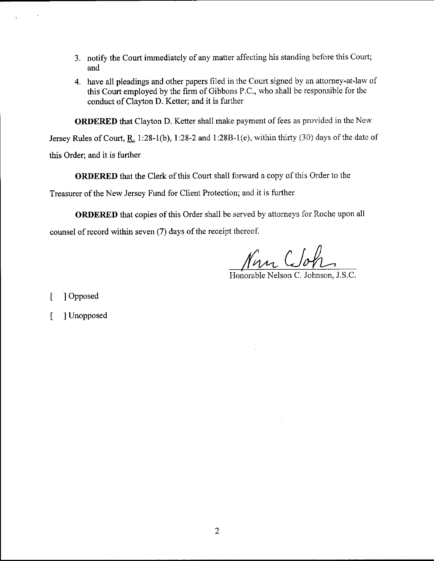- 3. notify the Court immediately of any matter affecting his standing before this Court; and
- 4. have all pleadings and other papers filed in the Court signed by an attorney-at-law of this Court employed by the firm of Gibbons P.C., who shall be responsible for the conduct of Clayton D. Ketter; and it is further

ORDERED that Clayton D. Ketter shall make payment of fees as provided in the New

Jersey Rules of Court, R. 1:28-1(b), 1:28-2 and 1:28B-1(e), within thirty (30) days of the date of this Order; and it is further

ORDERED that the Clerk of this Court shall forward a copy of this Order to the

Treasurer of the New Jersey Fund for Client Protection; and it is further

ORDERED that copies of this Order shall be served by attomeys for Roche upon all counsel of record within seven (7) days of the receipt thereof.

Non Clot

 $H$ onorable Nelson C. Johnson,

[ ] Opposed

[ ] Unopposed